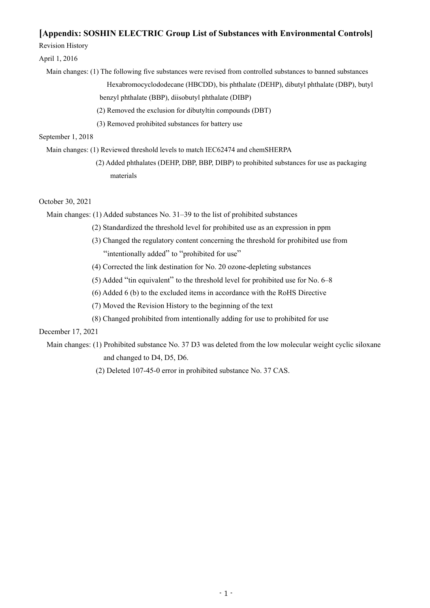# **[Appendix: SOSHIN ELECTRIC Group List of Substances with Environmental Controls]**

Revision History

## April 1, 2016

Main changes: (1) The following five substances were revised from controlled substances to banned substances

Hexabromocyclododecane (HBCDD), bis phthalate (DEHP), dibutyl phthalate (DBP), butyl benzyl phthalate (BBP), diisobutyl phthalate (DIBP)

(2) Removed the exclusion for dibutyltin compounds (DBT)

(3) Removed prohibited substances for battery use

## September 1, 2018

Main changes: (1) Reviewed threshold levels to match IEC62474 and chemSHERPA

(2) Added phthalates (DEHP, DBP, BBP, DIBP) to prohibited substances for use as packaging materials

## October 30, 2021

Main changes: (1) Added substances No. 31–39 to the list of prohibited substances

- (2) Standardized the threshold level for prohibited use as an expression in ppm
- (3) Changed the regulatory content concerning the threshold for prohibited use from "intentionally added" to "prohibited for use"
- (4) Corrected the link destination for No. 20 ozone-depleting substances
- (5) Added "tin equivalent" to the threshold level for prohibited use for No. 6–8
- (6) Added 6 (b) to the excluded items in accordance with the RoHS Directive
- (7) Moved the Revision History to the beginning of the text
- (8) Changed prohibited from intentionally adding for use to prohibited for use

# December 17, 2021

- Main changes: (1) Prohibited substance No. 37 D3 was deleted from the low molecular weight cyclic siloxane and changed to D4, D5, D6.
	- (2) Deleted 107-45-0 error in prohibited substance No. 37 CAS.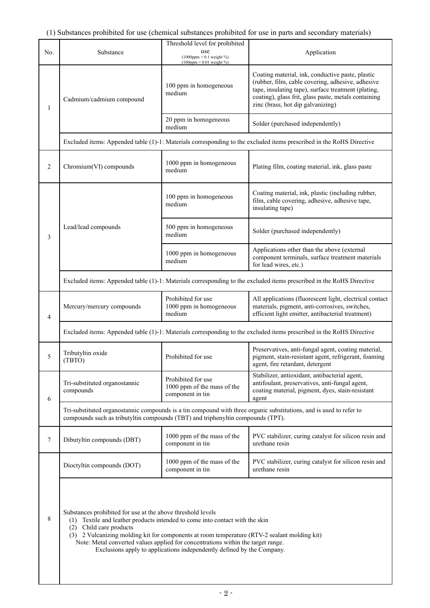| No.          | Substance                                                                                                                                                                                                                                                                                                                                                                                                                            | Threshold level for prohibited<br>use<br>$(1000$ ppm = 0.1 weight %)<br>$(100$ ppm = 0.01 weight %) | Application                                                                                                                                                                                                                                               |  |
|--------------|--------------------------------------------------------------------------------------------------------------------------------------------------------------------------------------------------------------------------------------------------------------------------------------------------------------------------------------------------------------------------------------------------------------------------------------|-----------------------------------------------------------------------------------------------------|-----------------------------------------------------------------------------------------------------------------------------------------------------------------------------------------------------------------------------------------------------------|--|
| $\mathbf{1}$ | Cadmium/cadmium compound                                                                                                                                                                                                                                                                                                                                                                                                             | 100 ppm in homogeneous<br>medium                                                                    | Coating material, ink, conductive paste, plastic<br>(rubber, film, cable covering, adhesive, adhesive<br>tape, insulating tape), surface treatment (plating,<br>coating), glass frit, glass paste, metals containing<br>zinc (brass, hot dip galvanizing) |  |
|              |                                                                                                                                                                                                                                                                                                                                                                                                                                      | 20 ppm in homogeneous<br>medium                                                                     | Solder (purchased independently)                                                                                                                                                                                                                          |  |
|              |                                                                                                                                                                                                                                                                                                                                                                                                                                      |                                                                                                     | Excluded items: Appended table (1)-1: Materials corresponding to the excluded items prescribed in the RoHS Directive                                                                                                                                      |  |
| 2            | Chromium(VI) compounds                                                                                                                                                                                                                                                                                                                                                                                                               | 1000 ppm in homogeneous<br>medium                                                                   | Plating film, coating material, ink, glass paste                                                                                                                                                                                                          |  |
|              |                                                                                                                                                                                                                                                                                                                                                                                                                                      | 100 ppm in homogeneous<br>medium                                                                    | Coating material, ink, plastic (including rubber,<br>film, cable covering, adhesive, adhesive tape,<br>insulating tape)                                                                                                                                   |  |
| 3            | Lead/lead compounds                                                                                                                                                                                                                                                                                                                                                                                                                  | 500 ppm in homogeneous<br>medium                                                                    | Solder (purchased independently)                                                                                                                                                                                                                          |  |
|              |                                                                                                                                                                                                                                                                                                                                                                                                                                      | 1000 ppm in homogeneous<br>medium                                                                   | Applications other than the above (external<br>component terminals, surface treatment materials<br>for lead wires, etc.)                                                                                                                                  |  |
|              | Excluded items: Appended table (1)-1: Materials corresponding to the excluded items prescribed in the RoHS Directive                                                                                                                                                                                                                                                                                                                 |                                                                                                     |                                                                                                                                                                                                                                                           |  |
| 4            | Mercury/mercury compounds                                                                                                                                                                                                                                                                                                                                                                                                            | Prohibited for use<br>1000 ppm in homogeneous<br>medium                                             | All applications (fluorescent light, electrical contact<br>materials, pigment, anti-corrosives, switches,<br>efficient light emitter, antibacterial treatment)                                                                                            |  |
|              | Excluded items: Appended table (1)-1: Materials corresponding to the excluded items prescribed in the RoHS Directive                                                                                                                                                                                                                                                                                                                 |                                                                                                     |                                                                                                                                                                                                                                                           |  |
| 5            | Tributyltin oxide<br>(TBTO)                                                                                                                                                                                                                                                                                                                                                                                                          | Prohibited for use                                                                                  | Preservatives, anti-fungal agent, coating material,<br>pigment, stain-resistant agent, refrigerant, foaming<br>agent, fire retardant, detergent                                                                                                           |  |
| 6            | Tri-substituted organostannic<br>compounds                                                                                                                                                                                                                                                                                                                                                                                           | Prohibited for use<br>1000 ppm of the mass of the<br>component in tin                               | Stabilizer, antioxidant, antibacterial agent,<br>antifoulant, preservatives, anti-fungal agent,<br>coating material, pigment, dyes, stain-resistant<br>agent                                                                                              |  |
|              | Tri-substituted organostannic compounds is a tin compound with three organic substitutions, and is used to refer to<br>compounds such as tributyltin compounds (TBT) and triphenyltin compounds (TPT).                                                                                                                                                                                                                               |                                                                                                     |                                                                                                                                                                                                                                                           |  |
| 7            | Dibutyltin compounds (DBT)                                                                                                                                                                                                                                                                                                                                                                                                           | 1000 ppm of the mass of the<br>component in tin                                                     | PVC stabilizer, curing catalyst for silicon resin and<br>urethane resin                                                                                                                                                                                   |  |
|              | Dioctyltin compounds (DOT)                                                                                                                                                                                                                                                                                                                                                                                                           | 1000 ppm of the mass of the<br>component in tin                                                     | PVC stabilizer, curing catalyst for silicon resin and<br>urethane resin                                                                                                                                                                                   |  |
| 8            | Substances prohibited for use at the above threshold levels<br>(1) Textile and leather products intended to come into contact with the skin<br>(2) Child care products<br>(3) 2 Vulcanizing molding kit for components at room temperature (RTV-2 sealant molding kit)<br>Note: Metal converted values applied for concentrations within the target range.<br>Exclusions apply to applications independently defined by the Company. |                                                                                                     |                                                                                                                                                                                                                                                           |  |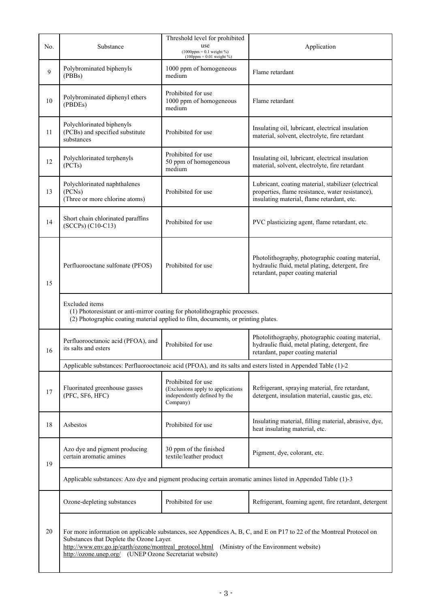| No.    | Substance                                                                                                                                                                                                                                                                                                                     | Threshold level for prohibited<br>use<br>$(1000$ ppm = 0.1 weight %)<br>$(100$ ppm = 0.01 weight %)  | Application                                                                                                                                           |  |  |
|--------|-------------------------------------------------------------------------------------------------------------------------------------------------------------------------------------------------------------------------------------------------------------------------------------------------------------------------------|------------------------------------------------------------------------------------------------------|-------------------------------------------------------------------------------------------------------------------------------------------------------|--|--|
| 9      | Polybrominated biphenyls<br>(PBBs)                                                                                                                                                                                                                                                                                            | 1000 ppm of homogeneous<br>medium                                                                    | Flame retardant                                                                                                                                       |  |  |
| $10\,$ | Polybrominated diphenyl ethers<br>(PBDEs)                                                                                                                                                                                                                                                                                     | Prohibited for use<br>1000 ppm of homogeneous<br>medium                                              | Flame retardant                                                                                                                                       |  |  |
| 11     | Polychlorinated biphenyls<br>(PCBs) and specified substitute<br>substances                                                                                                                                                                                                                                                    | Prohibited for use                                                                                   | Insulating oil, lubricant, electrical insulation<br>material, solvent, electrolyte, fire retardant                                                    |  |  |
| 12     | Polychlorinated terphenyls<br>(PCTs)                                                                                                                                                                                                                                                                                          | Prohibited for use<br>50 ppm of homogeneous<br>medium                                                | Insulating oil, lubricant, electrical insulation<br>material, solvent, electrolyte, fire retardant                                                    |  |  |
| 13     | Polychlorinated naphthalenes<br>(PCNs)<br>(Three or more chlorine atoms)                                                                                                                                                                                                                                                      | Prohibited for use                                                                                   | Lubricant, coating material, stabilizer (electrical<br>properties, flame resistance, water resistance),<br>insulating material, flame retardant, etc. |  |  |
| 14     | Short chain chlorinated paraffins<br>(SCCPs) (C10-C13)                                                                                                                                                                                                                                                                        | Prohibited for use                                                                                   | PVC plasticizing agent, flame retardant, etc.                                                                                                         |  |  |
| 15     | Perfluorooctane sulfonate (PFOS)                                                                                                                                                                                                                                                                                              | Prohibited for use                                                                                   | Photolithography, photographic coating material,<br>hydraulic fluid, metal plating, detergent, fire<br>retardant, paper coating material              |  |  |
|        | <b>Excluded</b> items<br>(1) Photoresistant or anti-mirror coating for photolithographic processes.<br>(2) Photographic coating material applied to film, documents, or printing plates.                                                                                                                                      |                                                                                                      |                                                                                                                                                       |  |  |
| 16     | Perfluorooctanoic acid (PFOA), and<br>its salts and esters                                                                                                                                                                                                                                                                    | Prohibited for use                                                                                   | Photolithography, photographic coating material,<br>hydraulic fluid, metal plating, detergent, fire<br>retardant, paper coating material              |  |  |
|        | Applicable substances: Perfluorooctanoic acid (PFOA), and its salts and esters listed in Appended Table (1)-2                                                                                                                                                                                                                 |                                                                                                      |                                                                                                                                                       |  |  |
| 17     | Fluorinated greenhouse gasses<br>(PFC, SF6, HFC)                                                                                                                                                                                                                                                                              | Prohibited for use<br>(Exclusions apply to applications)<br>independently defined by the<br>Company) | Refrigerant, spraying material, fire retardant,<br>detergent, insulation material, caustic gas, etc.                                                  |  |  |
| 18     | Asbestos                                                                                                                                                                                                                                                                                                                      | Prohibited for use                                                                                   | Insulating material, filling material, abrasive, dye,<br>heat insulating material, etc.                                                               |  |  |
| 19     | Azo dye and pigment producing<br>certain aromatic amines                                                                                                                                                                                                                                                                      | 30 ppm of the finished<br>textile/leather product                                                    | Pigment, dye, colorant, etc.                                                                                                                          |  |  |
|        | Applicable substances: Azo dye and pigment producing certain aromatic amines listed in Appended Table (1)-3                                                                                                                                                                                                                   |                                                                                                      |                                                                                                                                                       |  |  |
|        | Ozone-depleting substances                                                                                                                                                                                                                                                                                                    | Prohibited for use                                                                                   | Refrigerant, foaming agent, fire retardant, detergent                                                                                                 |  |  |
| 20     | For more information on applicable substances, see Appendices A, B, C, and E on P17 to 22 of the Montreal Protocol on<br>Substances that Deplete the Ozone Layer.<br>http://www.env.go.jp/earth/ozone/montreal_protocol.html (Ministry of the Environment website)<br>http://ozone.unep.org/ (UNEP Ozone Secretariat website) |                                                                                                      |                                                                                                                                                       |  |  |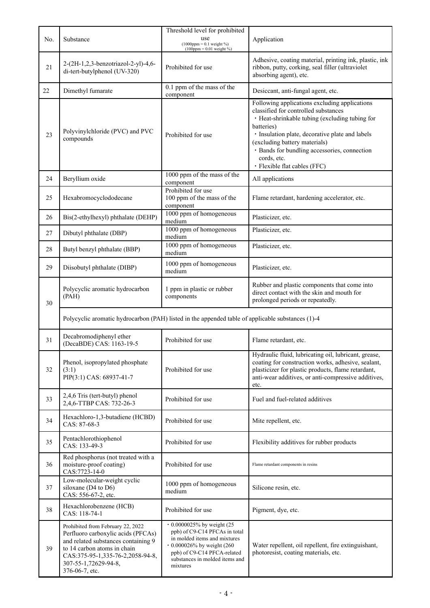| No. | Substance                                                                                                                                                                                                                   | Threshold level for prohibited<br>use<br>$(1000$ ppm = 0.1 weight %)                                                                                                                                               | Application                                                                                                                                                                                                                                                                                                                              |
|-----|-----------------------------------------------------------------------------------------------------------------------------------------------------------------------------------------------------------------------------|--------------------------------------------------------------------------------------------------------------------------------------------------------------------------------------------------------------------|------------------------------------------------------------------------------------------------------------------------------------------------------------------------------------------------------------------------------------------------------------------------------------------------------------------------------------------|
| 21  | 2-(2H-1,2,3-benzotriazol-2-yl)-4,6-<br>di-tert-butylphenol (UV-320)                                                                                                                                                         | $(100$ ppm = 0.01 weight %)<br>Prohibited for use                                                                                                                                                                  | Adhesive, coating material, printing ink, plastic, ink<br>ribbon, putty, corking, seal filler (ultraviolet<br>absorbing agent), etc.                                                                                                                                                                                                     |
| 22  | Dimethyl fumarate                                                                                                                                                                                                           | 0.1 ppm of the mass of the<br>component                                                                                                                                                                            | Desiccant, anti-fungal agent, etc.                                                                                                                                                                                                                                                                                                       |
| 23  | Polyvinylchloride (PVC) and PVC<br>compounds                                                                                                                                                                                | Prohibited for use                                                                                                                                                                                                 | Following applications excluding applications<br>classified for controlled substances<br>· Heat-shrinkable tubing (excluding tubing for<br>batteries)<br>· Insulation plate, decorative plate and labels<br>(excluding battery materials)<br>· Bands for bundling accessories, connection<br>cords, etc.<br>· Flexible flat cables (FFC) |
| 24  | Beryllium oxide                                                                                                                                                                                                             | 1000 ppm of the mass of the<br>component                                                                                                                                                                           | All applications                                                                                                                                                                                                                                                                                                                         |
| 25  | Hexabromocyclododecane                                                                                                                                                                                                      | Prohibited for use<br>100 ppm of the mass of the<br>component                                                                                                                                                      | Flame retardant, hardening accelerator, etc.                                                                                                                                                                                                                                                                                             |
| 26  | Bis(2-ethylhexyl) phthalate (DEHP)                                                                                                                                                                                          | 1000 ppm of homogeneous<br>medium                                                                                                                                                                                  | Plasticizer, etc.                                                                                                                                                                                                                                                                                                                        |
| 27  | Dibutyl phthalate (DBP)                                                                                                                                                                                                     | 1000 ppm of homogeneous<br>medium                                                                                                                                                                                  | Plasticizer, etc.                                                                                                                                                                                                                                                                                                                        |
| 28  | Butyl benzyl phthalate (BBP)                                                                                                                                                                                                | 1000 ppm of homogeneous<br>medium                                                                                                                                                                                  | Plasticizer, etc.                                                                                                                                                                                                                                                                                                                        |
| 29  | Diisobutyl phthalate (DIBP)                                                                                                                                                                                                 | 1000 ppm of homogeneous<br>medium                                                                                                                                                                                  | Plasticizer, etc.                                                                                                                                                                                                                                                                                                                        |
| 30  | Polycyclic aromatic hydrocarbon<br>(PAH)                                                                                                                                                                                    | 1 ppm in plastic or rubber<br>components                                                                                                                                                                           | Rubber and plastic components that come into<br>direct contact with the skin and mouth for<br>prolonged periods or repeatedly.                                                                                                                                                                                                           |
|     | Polycyclic aromatic hydrocarbon (PAH) listed in the appended table of applicable substances (1)-4                                                                                                                           |                                                                                                                                                                                                                    |                                                                                                                                                                                                                                                                                                                                          |
| 31  | Decabromodiphenyl ether<br>(DecaBDE) CAS: 1163-19-5                                                                                                                                                                         | Prohibited for use                                                                                                                                                                                                 | Flame retardant, etc.                                                                                                                                                                                                                                                                                                                    |
| 32  | Phenol, isopropylated phosphate<br>(3:1)<br>PIP(3:1) CAS: 68937-41-7                                                                                                                                                        | Prohibited for use                                                                                                                                                                                                 | Hydraulic fluid, lubricating oil, lubricant, grease,<br>coating for construction works, adhesive, sealant,<br>plasticizer for plastic products, flame retardant,<br>anti-wear additives, or anti-compressive additives,<br>etc.                                                                                                          |
| 33  | 2,4,6 Tris (tert-butyl) phenol<br>2,4,6-TTBP CAS: 732-26-3                                                                                                                                                                  | Prohibited for use                                                                                                                                                                                                 | Fuel and fuel-related additives                                                                                                                                                                                                                                                                                                          |
| 34  | Hexachloro-1,3-butadiene (HCBD)<br>CAS: 87-68-3                                                                                                                                                                             | Prohibited for use                                                                                                                                                                                                 | Mite repellent, etc.                                                                                                                                                                                                                                                                                                                     |
| 35  | Pentachlorothiophenol<br>CAS: 133-49-3                                                                                                                                                                                      | Prohibited for use                                                                                                                                                                                                 | Flexibility additives for rubber products                                                                                                                                                                                                                                                                                                |
| 36  | Red phosphorus (not treated with a<br>moisture-proof coating)<br>CAS:7723-14-0                                                                                                                                              | Prohibited for use                                                                                                                                                                                                 | Flame retardant components in resins                                                                                                                                                                                                                                                                                                     |
| 37  | Low-molecular-weight cyclic<br>siloxane (D4 to D6)<br>CAS: 556-67-2, etc.                                                                                                                                                   | 1000 ppm of homogeneous<br>medium                                                                                                                                                                                  | Silicone resin, etc.                                                                                                                                                                                                                                                                                                                     |
| 38  | Hexachlorobenzene (HCB)<br>CAS: 118-74-1                                                                                                                                                                                    | Prohibited for use                                                                                                                                                                                                 | Pigment, dye, etc.                                                                                                                                                                                                                                                                                                                       |
| 39  | Prohibited from February 22, 2022<br>Perfluoro carboxylic acids (PFCAs)<br>and related substances containing 9<br>to 14 carbon atoms in chain<br>CAS:375-95-1,335-76-2,2058-94-8,<br>307-55-1,72629-94-8,<br>376-06-7, etc. | $\cdot$ 0.0000025% by weight (25<br>ppb) of C9-C14 PFCAs in total<br>in molded items and mixtures<br>$\cdot$ 0.000026% by weight (260<br>ppb) of C9-C14 PFCA-related<br>substances in molded items and<br>mixtures | Water repellent, oil repellent, fire extinguishant,<br>photoresist, coating materials, etc.                                                                                                                                                                                                                                              |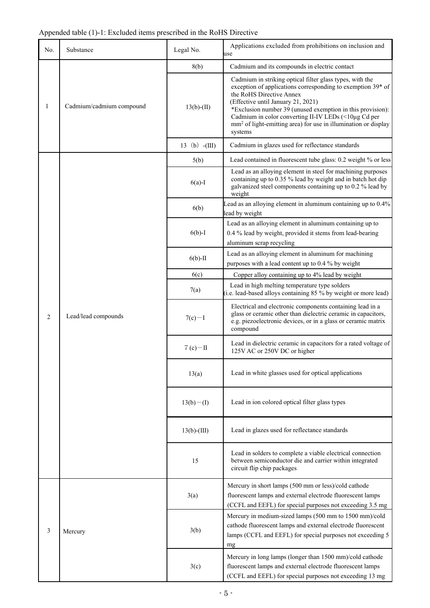# Appended table (1)-1: Excluded items prescribed in the RoHS Directive

| No.            | Substance                | Legal No.       | Applications excluded from prohibitions on inclusion and<br>use                                                                                                                                                                                                                                                                                                                                          |
|----------------|--------------------------|-----------------|----------------------------------------------------------------------------------------------------------------------------------------------------------------------------------------------------------------------------------------------------------------------------------------------------------------------------------------------------------------------------------------------------------|
| 1              | Cadmium/cadmium compound | 8(b)            | Cadmium and its compounds in electric contact                                                                                                                                                                                                                                                                                                                                                            |
|                |                          | $13(b)-(II)$    | Cadmium in striking optical filter glass types, with the<br>exception of applications corresponding to exemption 39* of<br>the RoHS Directive Annex<br>(Effective until January 21, 2021)<br>*Exclusion number 39 (unused exemption in this provision):<br>Cadmium in color converting II-IV LEDs (<10µg Cd per<br>mm <sup>2</sup> of light-emitting area) for use in illumination or display<br>systems |
|                |                          | 13 (b) $-(III)$ | Cadmium in glazes used for reflectance standards                                                                                                                                                                                                                                                                                                                                                         |
|                |                          | 5(b)            | Lead contained in fluorescent tube glass: 0.2 weight % or less                                                                                                                                                                                                                                                                                                                                           |
|                |                          | $6(a)-I$        | Lead as an alloying element in steel for machining purposes<br>containing up to 0.35 % lead by weight and in batch hot dip<br>galvanized steel components containing up to 0.2 % lead by<br>weight                                                                                                                                                                                                       |
|                |                          | 6(b)            | Lead as an alloying element in aluminum containing up to 0.4%<br>lead by weight                                                                                                                                                                                                                                                                                                                          |
|                |                          | $6(b)-I$        | Lead as an alloying element in aluminum containing up to<br>0.4 % lead by weight, provided it stems from lead-bearing<br>aluminum scrap recycling                                                                                                                                                                                                                                                        |
|                |                          | $6(b)$ -II      | Lead as an alloying element in aluminum for machining<br>purposes with a lead content up to 0.4 % by weight                                                                                                                                                                                                                                                                                              |
|                |                          | 6(c)            | Copper alloy containing up to 4% lead by weight                                                                                                                                                                                                                                                                                                                                                          |
| $\overline{2}$ | Lead/lead compounds      | 7(a)            | Lead in high melting temperature type solders<br>(i.e. lead-based alloys containing 85 % by weight or more lead)                                                                                                                                                                                                                                                                                         |
|                |                          | $7(c) - I$      | Electrical and electronic components containing lead in a<br>glass or ceramic other than dielectric ceramic in capacitors,<br>e.g. piezoelectronic devices, or in a glass or ceramic matrix<br>compound                                                                                                                                                                                                  |
|                |                          | $7(c)$ -II      | Lead in dielectric ceramic in capacitors for a rated voltage of<br>125V AC or 250V DC or higher                                                                                                                                                                                                                                                                                                          |
|                |                          | 13(a)           | Lead in white glasses used for optical applications                                                                                                                                                                                                                                                                                                                                                      |
|                |                          | $13(b) - (I)$   | Lead in ion colored optical filter glass types                                                                                                                                                                                                                                                                                                                                                           |
|                |                          | $13(b)-(III)$   | Lead in glazes used for reflectance standards                                                                                                                                                                                                                                                                                                                                                            |
|                |                          | 15              | Lead in solders to complete a viable electrical connection<br>between semiconductor die and carrier within integrated<br>circuit flip chip packages                                                                                                                                                                                                                                                      |
| 3              | Mercury                  | 3(a)            | Mercury in short lamps (500 mm or less)/cold cathode<br>fluorescent lamps and external electrode fluorescent lamps<br>(CCFL and EEFL) for special purposes not exceeding 3.5 mg                                                                                                                                                                                                                          |
|                |                          | 3(b)            | Mercury in medium-sized lamps (500 mm to 1500 mm)/cold<br>cathode fluorescent lamps and external electrode fluorescent<br>lamps (CCFL and EEFL) for special purposes not exceeding 5<br>mg                                                                                                                                                                                                               |
|                |                          | 3(c)            | Mercury in long lamps (longer than 1500 mm)/cold cathode<br>fluorescent lamps and external electrode fluorescent lamps<br>(CCFL and EEFL) for special purposes not exceeding 13 mg                                                                                                                                                                                                                       |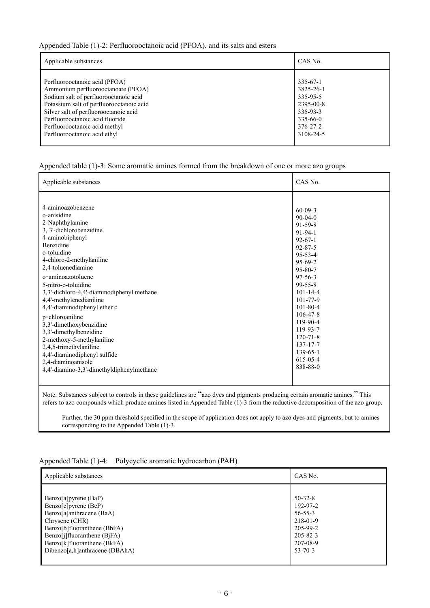## Appended Table (1)-2: Perfluorooctanoic acid (PFOA), and its salts and esters

| Applicable substances                    | CAS No.        |
|------------------------------------------|----------------|
| Perfluorooctanoic acid (PFOA)            | $335 - 67 - 1$ |
| Ammonium perfluorooctanoate (PFOA)       | 3825-26-1      |
| Sodium salt of perfluorooctanoic acid    | 335-95-5       |
| Potassium salt of perfluorooctanoic acid | 2395-00-8      |
| Silver salt of perfluorooctanoic acid    | 335-93-3       |
| Perfluorooctanoic acid fluoride          | 335-66-0       |
| Perfluorooctanoic acid methyl            | $376 - 27 - 2$ |
| Perfluorooctanoic acid ethyl             | 3108-24-5      |

# Appended table (1)-3: Some aromatic amines formed from the breakdown of one or more azo groups

| 4-aminoazobenzene<br>$60-09-3$<br>o-anisidine<br>$90-04-0$<br>2-Naphthylamine<br>$91 - 59 - 8$<br>3, 3'-dichlorobenzidine<br>$91 - 94 - 1$<br>4-aminobiphenyl<br>$92 - 67 - 1$<br><b>Benzidine</b><br>$92 - 87 - 5$<br>o-toluidine<br>$95 - 53 - 4$<br>4-chloro-2-methylaniline<br>$95 - 69 - 2$<br>2,4-toluenediamine<br>$95 - 80 - 7$<br>o-aminoazotoluene<br>$97 - 56 - 3$<br>5-nitro-o-toluidine<br>$99 - 55 - 8$<br>3,3'-dichloro-4,4'-diaminodiphenyl methane<br>$101 - 14 - 4$<br>4,4'-methylenedianiline<br>$101 - 77 - 9$<br>$101 - 80 - 4$<br>4,4'-diaminodiphenyl ether c<br>$106 - 47 - 8$<br>p-chloroaniline<br>119-90-4<br>3,3'-dimethoxybenzidine<br>119-93-7<br>3,3'-dimethylbenzidine<br>$120 - 71 - 8$<br>2-methoxy-5-methylaniline<br>$137 - 17 - 7$<br>2,4,5-trimethylaniline<br>$139 - 65 - 1$<br>4,4'-diaminodiphenyl sulfide<br>615-05-4<br>2,4-diaminoanisole<br>838-88-0<br>4,4'-diamino-3,3'-dimethyldiphenylmethane | Applicable substances | CAS No. |
|------------------------------------------------------------------------------------------------------------------------------------------------------------------------------------------------------------------------------------------------------------------------------------------------------------------------------------------------------------------------------------------------------------------------------------------------------------------------------------------------------------------------------------------------------------------------------------------------------------------------------------------------------------------------------------------------------------------------------------------------------------------------------------------------------------------------------------------------------------------------------------------------------------------------------------------------|-----------------------|---------|
|                                                                                                                                                                                                                                                                                                                                                                                                                                                                                                                                                                                                                                                                                                                                                                                                                                                                                                                                                |                       |         |

Note: Substances subject to controls in these guidelines are "azo dyes and pigments producing certain aromatic amines." This refers to azo compounds which produce amines listed in Appended Table (1)-3 from the reductive decomposition of the azo group.

 Further, the 30 ppm threshold specified in the scope of application does not apply to azo dyes and pigments, but to amines corresponding to the Appended Table (1)-3.

#### Appended Table (1)-4: Polycyclic aromatic hydrocarbon (PAH)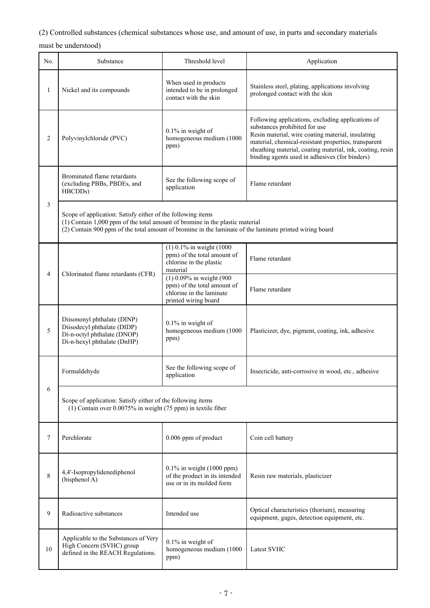(2) Controlled substances (chemical substances whose use, and amount of use, in parts and secondary materials

must be understood)

| No.          | Substance                                                                                                                                                                                                                                              | Threshold level                                                                                             | Application                                                                                                                                                                                                                                                                                                    |  |
|--------------|--------------------------------------------------------------------------------------------------------------------------------------------------------------------------------------------------------------------------------------------------------|-------------------------------------------------------------------------------------------------------------|----------------------------------------------------------------------------------------------------------------------------------------------------------------------------------------------------------------------------------------------------------------------------------------------------------------|--|
| $\mathbf{1}$ | Nickel and its compounds                                                                                                                                                                                                                               | When used in products<br>intended to be in prolonged<br>contact with the skin                               | Stainless steel, plating, applications involving<br>prolonged contact with the skin                                                                                                                                                                                                                            |  |
| 2            | Polyvinylchloride (PVC)                                                                                                                                                                                                                                | $0.1\%$ in weight of<br>homogeneous medium (1000<br>ppm)                                                    | Following applications, excluding applications of<br>substances prohibited for use<br>Resin material, wire coating material, insulating<br>material, chemical-resistant properties, transparent<br>sheathing material, coating material, ink, coating, resin<br>binding agents used in adhesives (for binders) |  |
|              | Brominated flame retardants<br>(excluding PBBs, PBDEs, and<br>HBCDDs)                                                                                                                                                                                  | See the following scope of<br>application                                                                   | Flame retardant                                                                                                                                                                                                                                                                                                |  |
| 3            | Scope of application: Satisfy either of the following items<br>(1) Contain 1,000 ppm of the total amount of bromine in the plastic material<br>(2) Contain 900 ppm of the total amount of bromine in the laminate of the laminate printed wiring board |                                                                                                             |                                                                                                                                                                                                                                                                                                                |  |
|              | Chlorinated flame retardants (CFR)                                                                                                                                                                                                                     | $(1)$ 0.1% in weight $(1000)$<br>ppm) of the total amount of<br>chlorine in the plastic<br>material         | Flame retardant                                                                                                                                                                                                                                                                                                |  |
| 4            |                                                                                                                                                                                                                                                        | (1) 0.09% in weight (900<br>ppm) of the total amount of<br>chlorine in the laminate<br>printed wiring board | Flame retardant                                                                                                                                                                                                                                                                                                |  |
| 5            | Diisononyl phthalate (DINP)<br>Diisodecyl phthalate (DIDP)<br>Di-n-octyl phthalate (DNOP)<br>Di-n-hexyl phthalate (DnHP)                                                                                                                               | $0.1\%$ in weight of<br>homogeneous medium (1000<br>ppm)                                                    | Plasticizer, dye, pigment, coating, ink, adhesive                                                                                                                                                                                                                                                              |  |
|              | Formaldehyde                                                                                                                                                                                                                                           | See the following scope of<br>application                                                                   | Insecticide, anti-corrosive in wood, etc., adhesive                                                                                                                                                                                                                                                            |  |
| 6            | Scope of application: Satisfy either of the following items<br>$(1)$ Contain over 0.0075% in weight (75 ppm) in textile fiber                                                                                                                          |                                                                                                             |                                                                                                                                                                                                                                                                                                                |  |
| 7            | Perchlorate                                                                                                                                                                                                                                            | 0.006 ppm of product                                                                                        | Coin cell battery                                                                                                                                                                                                                                                                                              |  |
| 8            | 4,4'-Isopropylidenediphenol<br>(bisphenol A)                                                                                                                                                                                                           | 0.1% in weight (1000 ppm)<br>of the product in its intended<br>use or in its molded form                    | Resin raw materials, plasticizer                                                                                                                                                                                                                                                                               |  |
| 9            | Radioactive substances                                                                                                                                                                                                                                 | Intended use                                                                                                | Optical characteristics (thorium), measuring<br>equipment, gages, detection equipment, etc.                                                                                                                                                                                                                    |  |
| 10           | Applicable to the Substances of Very<br>High Concern (SVHC) group<br>defined in the REACH Regulations.                                                                                                                                                 | $0.1\%$ in weight of<br>homogeneous medium (1000<br>ppm)                                                    | <b>Latest SVHC</b>                                                                                                                                                                                                                                                                                             |  |